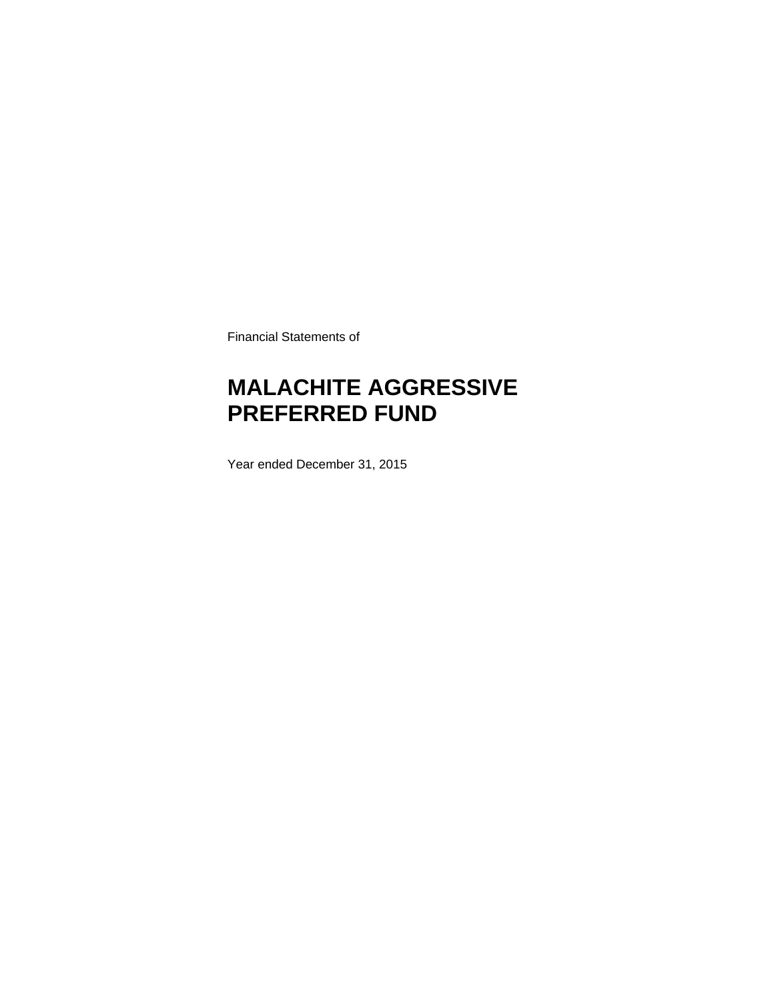Financial Statements of

# **MALACHITE AGGRESSIVE PREFERRED FUND**

Year ended December 31, 2015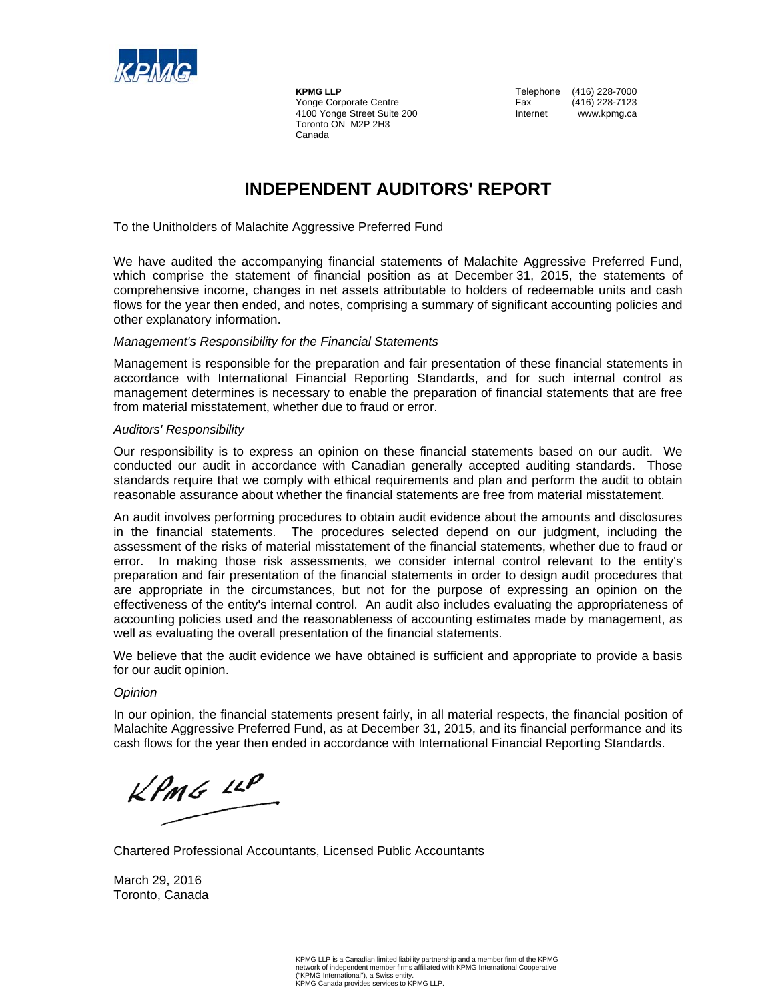

**KPMG LLP**<br>
Yonge Corporate Centre<br>
Yonge Corporate Centre<br>
Tax (416) 228-7123 Yonge Corporate Centre Fax Fax<br>4100 Yonge Street Suite 200 4100 Yonge Street Suite 200 **Internet** www.kpmg.ca Toronto ON M2P 2H3 Canada

### **INDEPENDENT AUDITORS' REPORT**

To the Unitholders of Malachite Aggressive Preferred Fund

We have audited the accompanying financial statements of Malachite Aggressive Preferred Fund, which comprise the statement of financial position as at December 31, 2015, the statements of comprehensive income, changes in net assets attributable to holders of redeemable units and cash flows for the year then ended, and notes, comprising a summary of significant accounting policies and other explanatory information.

#### *Management's Responsibility for the Financial Statements*

Management is responsible for the preparation and fair presentation of these financial statements in accordance with International Financial Reporting Standards, and for such internal control as management determines is necessary to enable the preparation of financial statements that are free from material misstatement, whether due to fraud or error.

#### *Auditors' Responsibility*

Our responsibility is to express an opinion on these financial statements based on our audit. We conducted our audit in accordance with Canadian generally accepted auditing standards. Those standards require that we comply with ethical requirements and plan and perform the audit to obtain reasonable assurance about whether the financial statements are free from material misstatement.

An audit involves performing procedures to obtain audit evidence about the amounts and disclosures in the financial statements. The procedures selected depend on our judgment, including the assessment of the risks of material misstatement of the financial statements, whether due to fraud or error. In making those risk assessments, we consider internal control relevant to the entity's preparation and fair presentation of the financial statements in order to design audit procedures that are appropriate in the circumstances, but not for the purpose of expressing an opinion on the effectiveness of the entity's internal control. An audit also includes evaluating the appropriateness of accounting policies used and the reasonableness of accounting estimates made by management, as well as evaluating the overall presentation of the financial statements.

We believe that the audit evidence we have obtained is sufficient and appropriate to provide a basis for our audit opinion.

#### *Opinion*

In our opinion, the financial statements present fairly, in all material respects, the financial position of Malachite Aggressive Preferred Fund, as at December 31, 2015, and its financial performance and its cash flows for the year then ended in accordance with International Financial Reporting Standards.

 $KPMG$  14P

Chartered Professional Accountants, Licensed Public Accountants

March 29, 2016 Toronto, Canada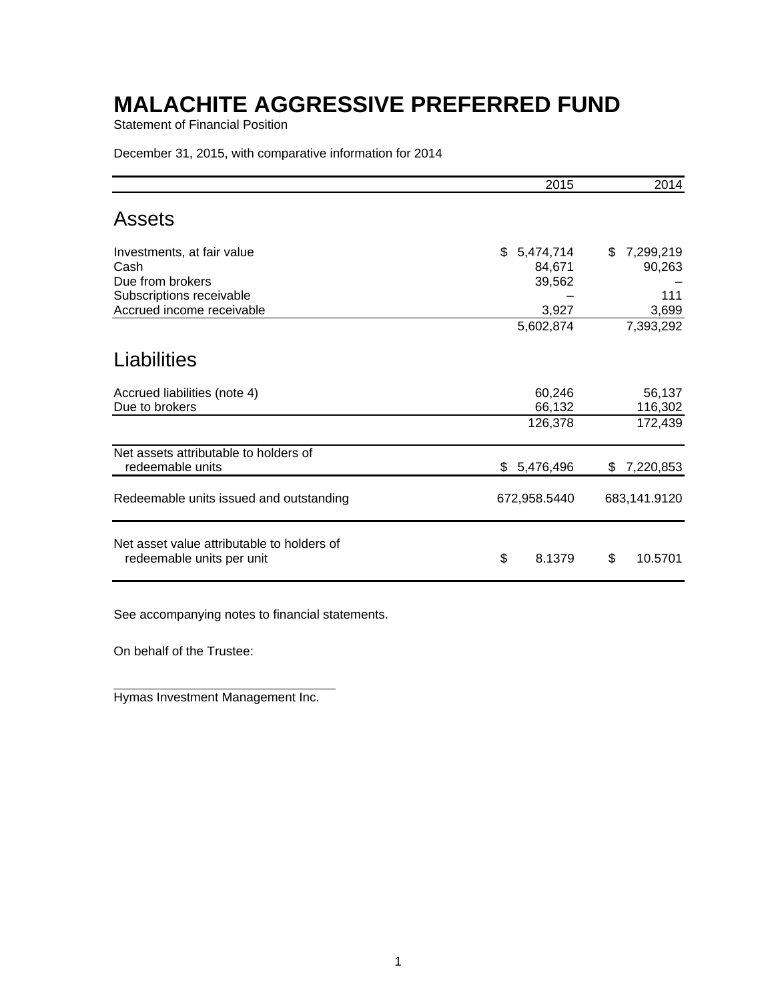Statement of Financial Position

December 31, 2015, with comparative information for 2014

|                                                                         | 2015                                | 2014                      |
|-------------------------------------------------------------------------|-------------------------------------|---------------------------|
| <b>Assets</b>                                                           |                                     |                           |
| Investments, at fair value<br>Cash<br>Due from brokers                  | 5,474,714<br>\$<br>84,671<br>39,562 | 7,299,219<br>\$<br>90,263 |
| Subscriptions receivable<br>Accrued income receivable                   | 3,927                               | 111<br>3,699              |
|                                                                         | 5,602,874                           | 7,393,292                 |
| Liabilities                                                             |                                     |                           |
| Accrued liabilities (note 4)<br>Due to brokers                          | 60,246<br>66,132                    | 56,137<br>116,302         |
|                                                                         | 126,378                             | 172,439                   |
| Net assets attributable to holders of<br>redeemable units               | 5,476,496<br>\$                     | 7,220,853<br>\$.          |
| Redeemable units issued and outstanding                                 | 672,958.5440                        | 683,141.9120              |
| Net asset value attributable to holders of<br>redeemable units per unit | \$<br>8.1379                        | \$<br>10.5701             |

See accompanying notes to financial statements.

On behalf of the Trustee:

 Hymas Investment Management Inc.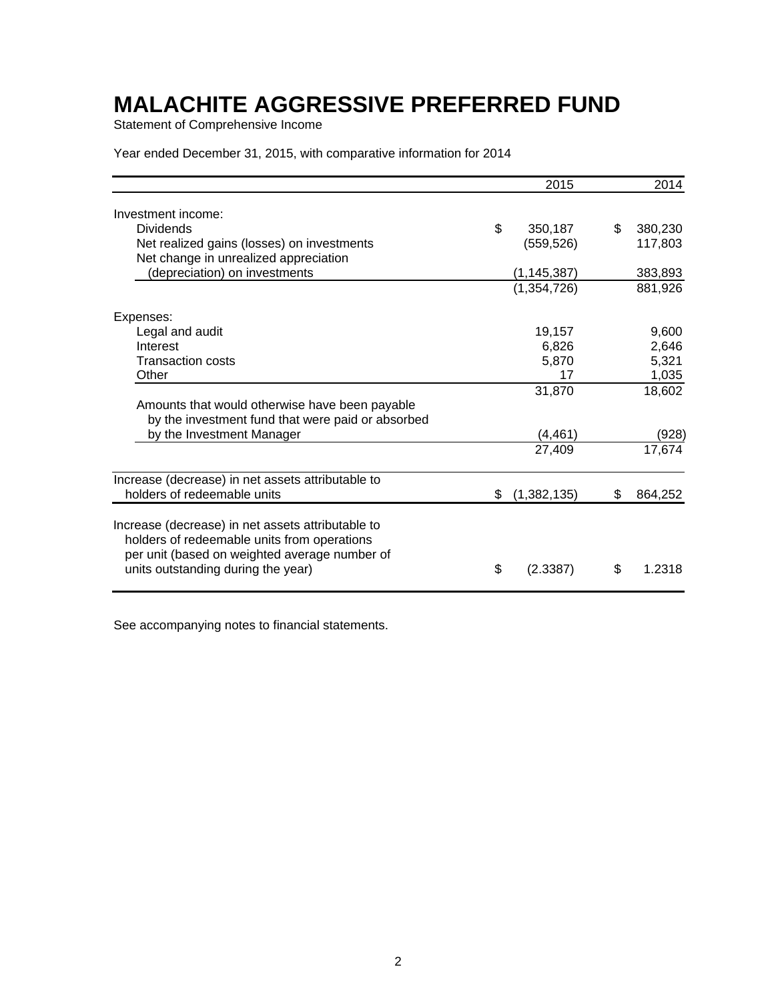Statement of Comprehensive Income

Year ended December 31, 2015, with comparative information for 2014

|                                                                                                  | 2015              | 2014          |
|--------------------------------------------------------------------------------------------------|-------------------|---------------|
|                                                                                                  |                   |               |
| Investment income:                                                                               |                   |               |
| <b>Dividends</b>                                                                                 | \$<br>350,187     | \$<br>380,230 |
| Net realized gains (losses) on investments                                                       | (559,526)         | 117,803       |
| Net change in unrealized appreciation                                                            |                   |               |
| (depreciation) on investments                                                                    | (1, 145, 387)     | 383,893       |
|                                                                                                  | (1, 354, 726)     | 881,926       |
| Expenses:                                                                                        |                   |               |
| Legal and audit                                                                                  | 19,157            | 9,600         |
| Interest                                                                                         | 6,826             | 2,646         |
| <b>Transaction costs</b>                                                                         | 5,870             | 5,321         |
| Other                                                                                            | 17                | 1,035         |
|                                                                                                  | 31,870            | 18,602        |
| Amounts that would otherwise have been payable                                                   |                   |               |
| by the investment fund that were paid or absorbed                                                |                   |               |
| by the Investment Manager                                                                        | (4, 461)          | (928)         |
|                                                                                                  | 27,409            | 17,674        |
| Increase (decrease) in net assets attributable to                                                |                   |               |
| holders of redeemable units                                                                      | \$<br>(1,382,135) | \$<br>864,252 |
| Increase (decrease) in net assets attributable to<br>holders of redeemable units from operations |                   |               |
| per unit (based on weighted average number of<br>units outstanding during the year)              | \$<br>(2.3387)    | \$<br>1.2318  |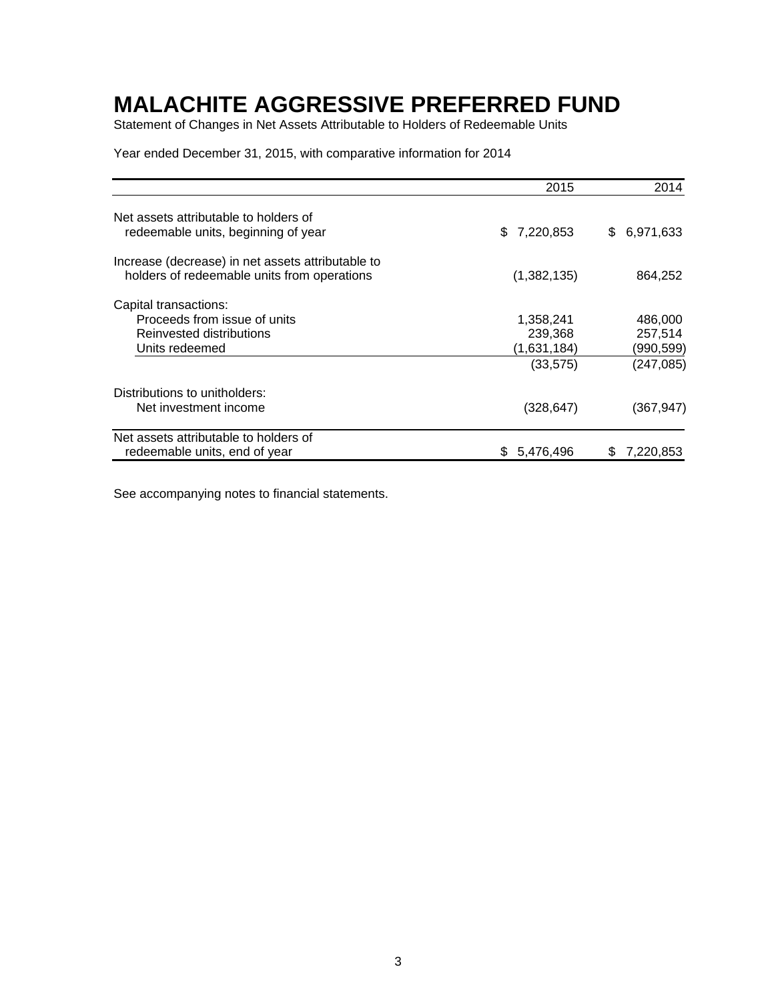Statement of Changes in Net Assets Attributable to Holders of Redeemable Units

Year ended December 31, 2015, with comparative information for 2014

|                                                                                                  | 2015           | 2014            |
|--------------------------------------------------------------------------------------------------|----------------|-----------------|
| Net assets attributable to holders of<br>redeemable units, beginning of year                     | 7,220,853<br>S | 6,971,633<br>\$ |
| Increase (decrease) in net assets attributable to<br>holders of redeemable units from operations | (1,382,135)    | 864,252         |
| Capital transactions:                                                                            |                |                 |
| Proceeds from issue of units                                                                     | 1,358,241      | 486,000         |
| Reinvested distributions                                                                         | 239,368        | 257,514         |
| Units redeemed                                                                                   | (1,631,184)    | (990,599)       |
|                                                                                                  | (33,575)       | (247, 085)      |
| Distributions to unitholders:                                                                    |                |                 |
| Net investment income                                                                            | (328,647)      | (367,947)       |
| Net assets attributable to holders of                                                            |                |                 |
| redeemable units, end of year                                                                    | 5,476,496      | 7.220.853       |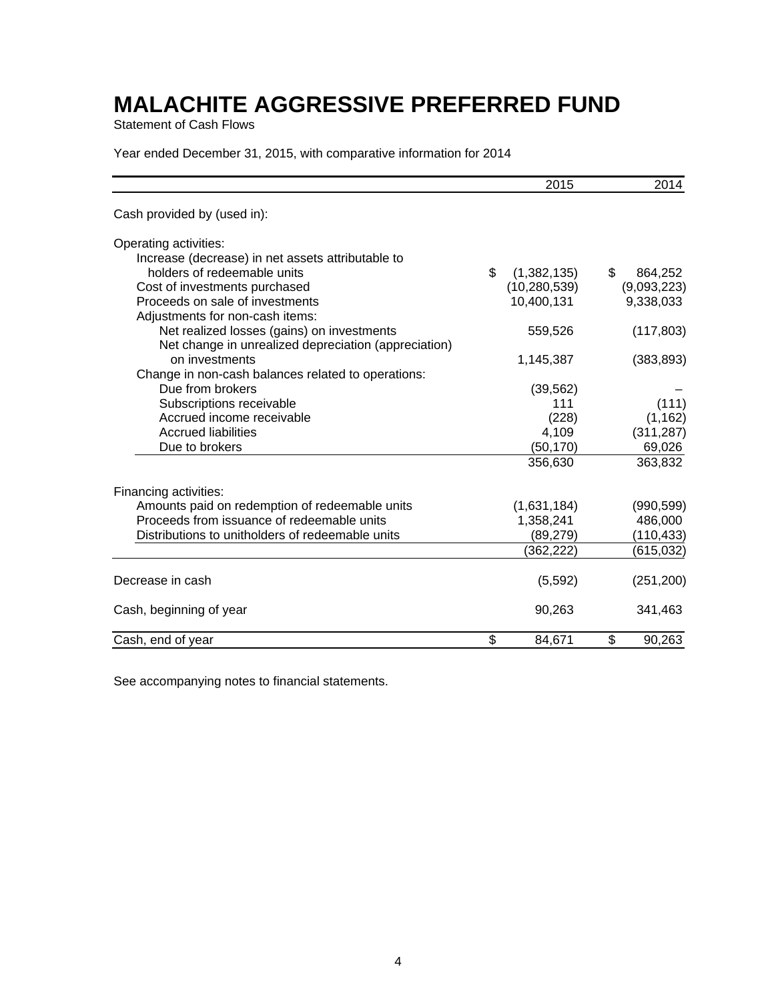Statement of Cash Flows

Year ended December 31, 2015, with comparative information for 2014

|                                                      | 2015              | 2014          |
|------------------------------------------------------|-------------------|---------------|
| Cash provided by (used in):                          |                   |               |
| Operating activities:                                |                   |               |
| Increase (decrease) in net assets attributable to    |                   |               |
| holders of redeemable units                          | \$<br>(1,382,135) | \$<br>864,252 |
| Cost of investments purchased                        | (10, 280, 539)    | (9,093,223)   |
| Proceeds on sale of investments                      | 10,400,131        | 9,338,033     |
| Adjustments for non-cash items:                      |                   |               |
| Net realized losses (gains) on investments           | 559,526           | (117, 803)    |
| Net change in unrealized depreciation (appreciation) |                   |               |
| on investments                                       | 1,145,387         | (383, 893)    |
| Change in non-cash balances related to operations:   |                   |               |
| Due from brokers                                     | (39, 562)         |               |
| Subscriptions receivable                             | 111               | (111)         |
| Accrued income receivable                            | (228)             | (1, 162)      |
| <b>Accrued liabilities</b>                           | 4,109             | (311, 287)    |
| Due to brokers                                       | (50, 170)         | 69,026        |
|                                                      | 356,630           | 363,832       |
| Financing activities:                                |                   |               |
| Amounts paid on redemption of redeemable units       | (1,631,184)       | (990, 599)    |
| Proceeds from issuance of redeemable units           | 1,358,241         | 486,000       |
| Distributions to unitholders of redeemable units     | (89,279)          | (110,433)     |
|                                                      | (362, 222)        | (615, 032)    |
| Decrease in cash                                     | (5, 592)          | (251, 200)    |
| Cash, beginning of year                              | 90,263            | 341,463       |
| Cash, end of year                                    | \$<br>84,671      | \$<br>90,263  |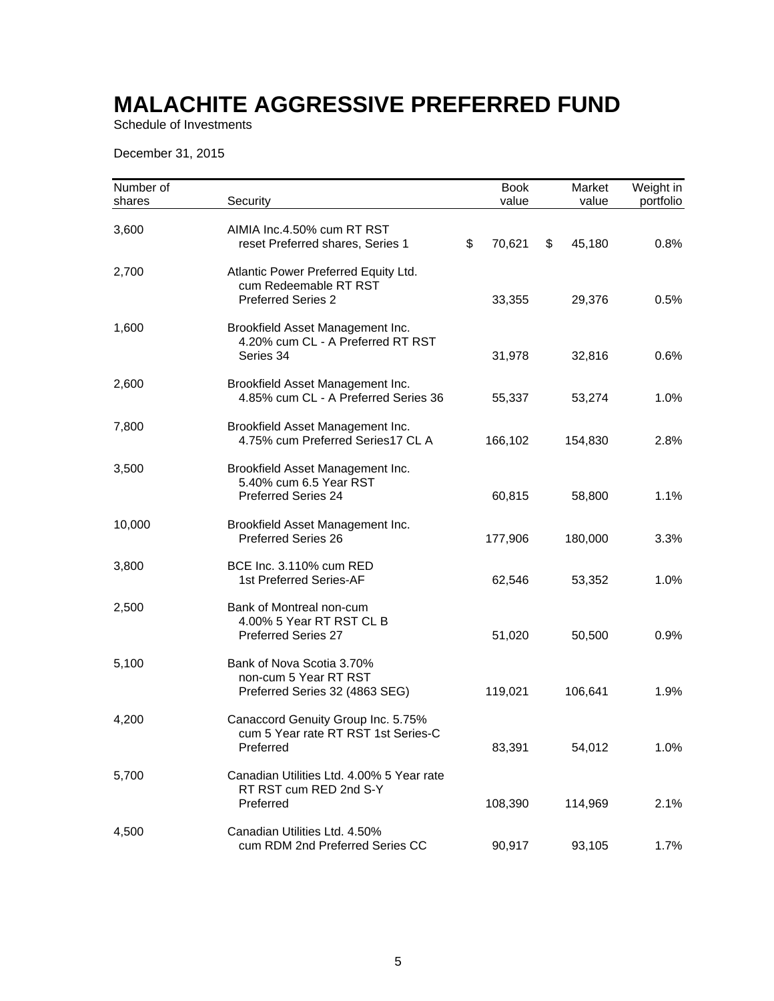Schedule of Investments

December 31, 2015

| Number of<br>shares | Security                                                                                   | <b>Book</b><br>value | Market<br>value | Weight in<br>portfolio |
|---------------------|--------------------------------------------------------------------------------------------|----------------------|-----------------|------------------------|
| 3,600               | AIMIA Inc.4.50% cum RT RST<br>reset Preferred shares, Series 1                             | \$<br>70,621         | \$<br>45,180    | 0.8%                   |
| 2,700               | Atlantic Power Preferred Equity Ltd.<br>cum Redeemable RT RST<br><b>Preferred Series 2</b> | 33,355               | 29,376          | 0.5%                   |
| 1,600               | Brookfield Asset Management Inc.<br>4.20% cum CL - A Preferred RT RST<br>Series 34         | 31,978               | 32,816          | 0.6%                   |
| 2,600               | Brookfield Asset Management Inc.<br>4.85% cum CL - A Preferred Series 36                   | 55,337               | 53,274          | 1.0%                   |
| 7,800               | Brookfield Asset Management Inc.<br>4.75% cum Preferred Series17 CL A                      | 166,102              | 154,830         | 2.8%                   |
| 3,500               | Brookfield Asset Management Inc.<br>5.40% cum 6.5 Year RST<br><b>Preferred Series 24</b>   | 60,815               | 58,800          | 1.1%                   |
| 10,000              | Brookfield Asset Management Inc.<br><b>Preferred Series 26</b>                             | 177,906              | 180,000         | 3.3%                   |
| 3,800               | BCE Inc. 3.110% cum RED<br>1st Preferred Series-AF                                         | 62,546               | 53,352          | 1.0%                   |
| 2,500               | Bank of Montreal non-cum<br>4.00% 5 Year RT RST CL B<br><b>Preferred Series 27</b>         | 51,020               | 50,500          | 0.9%                   |
| 5,100               | Bank of Nova Scotia 3.70%<br>non-cum 5 Year RT RST<br>Preferred Series 32 (4863 SEG)       | 119,021              | 106,641         | 1.9%                   |
| 4,200               | Canaccord Genuity Group Inc. 5.75%<br>cum 5 Year rate RT RST 1st Series-C<br>Preferred     | 83,391               | 54,012          | 1.0%                   |
| 5,700               | Canadian Utilities Ltd. 4.00% 5 Year rate<br>RT RST cum RED 2nd S-Y<br>Preferred           | 108,390              | 114,969         | 2.1%                   |
| 4,500               | Canadian Utilities Ltd. 4.50%<br>cum RDM 2nd Preferred Series CC                           | 90,917               | 93,105          | 1.7%                   |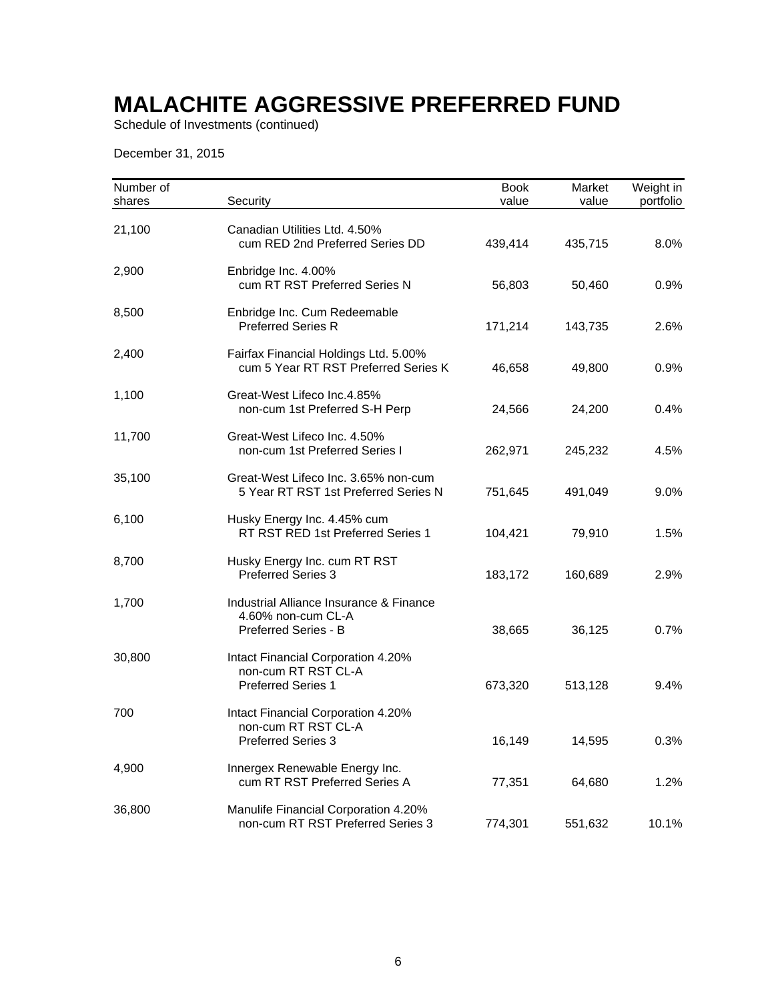Schedule of Investments (continued)

December 31, 2015

| Number of |                                                                                        | <b>Book</b> | Market  | Weight in |
|-----------|----------------------------------------------------------------------------------------|-------------|---------|-----------|
| shares    | Security                                                                               | value       | value   | portfolio |
| 21,100    | Canadian Utilities Ltd. 4.50%<br>cum RED 2nd Preferred Series DD                       | 439,414     | 435,715 | 8.0%      |
| 2,900     | Enbridge Inc. 4.00%<br>cum RT RST Preferred Series N                                   | 56,803      | 50,460  | 0.9%      |
| 8,500     | Enbridge Inc. Cum Redeemable<br><b>Preferred Series R</b>                              | 171,214     | 143,735 | 2.6%      |
| 2,400     | Fairfax Financial Holdings Ltd. 5.00%<br>cum 5 Year RT RST Preferred Series K          | 46,658      | 49,800  | 0.9%      |
| 1,100     | Great-West Lifeco Inc.4.85%<br>non-cum 1st Preferred S-H Perp                          | 24,566      | 24,200  | 0.4%      |
| 11,700    | Great-West Lifeco Inc. 4.50%<br>non-cum 1st Preferred Series I                         | 262,971     | 245,232 | 4.5%      |
| 35,100    | Great-West Lifeco Inc. 3.65% non-cum<br>5 Year RT RST 1st Preferred Series N           | 751,645     | 491,049 | 9.0%      |
| 6,100     | Husky Energy Inc. 4.45% cum<br>RT RST RED 1st Preferred Series 1                       | 104,421     | 79,910  | 1.5%      |
| 8,700     | Husky Energy Inc. cum RT RST<br><b>Preferred Series 3</b>                              | 183,172     | 160,689 | 2.9%      |
| 1,700     | Industrial Alliance Insurance & Finance<br>4.60% non-cum CL-A<br>Preferred Series - B  | 38,665      | 36,125  | 0.7%      |
| 30,800    | Intact Financial Corporation 4.20%<br>non-cum RT RST CL-A<br><b>Preferred Series 1</b> | 673,320     | 513,128 | 9.4%      |
| 700       | Intact Financial Corporation 4.20%<br>non-cum RT RST CL-A<br><b>Preferred Series 3</b> | 16,149      | 14,595  | 0.3%      |
| 4,900     | Innergex Renewable Energy Inc.<br>cum RT RST Preferred Series A                        | 77,351      | 64,680  | 1.2%      |
| 36,800    | Manulife Financial Corporation 4.20%<br>non-cum RT RST Preferred Series 3              | 774,301     | 551,632 | 10.1%     |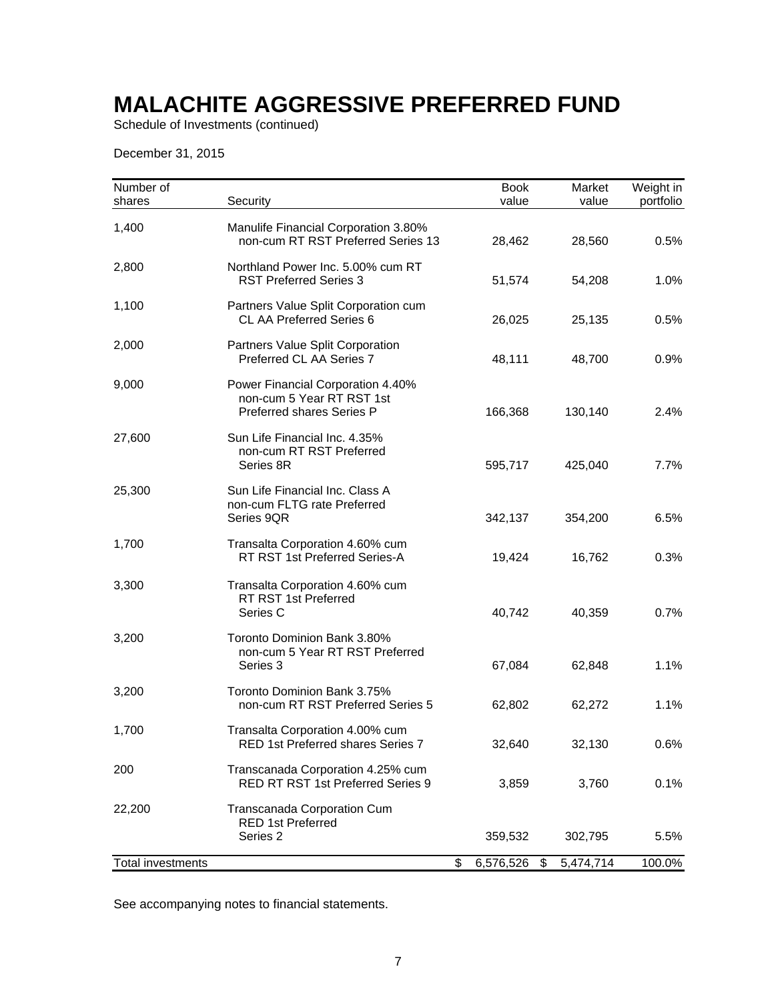Schedule of Investments (continued)

December 31, 2015

| Number of<br>shares | Security                                                                                    | <b>Book</b><br>value | Market<br>value | Weight in<br>portfolio |
|---------------------|---------------------------------------------------------------------------------------------|----------------------|-----------------|------------------------|
| 1,400               | Manulife Financial Corporation 3.80%<br>non-cum RT RST Preferred Series 13                  | 28,462               | 28,560          | 0.5%                   |
| 2,800               | Northland Power Inc. 5.00% cum RT<br><b>RST Preferred Series 3</b>                          | 51,574               | 54,208          | 1.0%                   |
| 1,100               | Partners Value Split Corporation cum<br><b>CL AA Preferred Series 6</b>                     | 26,025               | 25,135          | 0.5%                   |
| 2,000               | Partners Value Split Corporation<br>Preferred CL AA Series 7                                | 48,111               | 48,700          | 0.9%                   |
| 9,000               | Power Financial Corporation 4.40%<br>non-cum 5 Year RT RST 1st<br>Preferred shares Series P | 166,368              | 130,140         | 2.4%                   |
| 27,600              | Sun Life Financial Inc. 4.35%<br>non-cum RT RST Preferred<br>Series 8R                      | 595,717              | 425,040         | 7.7%                   |
| 25,300              | Sun Life Financial Inc. Class A<br>non-cum FLTG rate Preferred<br>Series 9QR                | 342,137              | 354,200         | 6.5%                   |
| 1,700               | Transalta Corporation 4.60% cum<br>RT RST 1st Preferred Series-A                            | 19,424               | 16,762          | 0.3%                   |
| 3,300               | Transalta Corporation 4.60% cum<br>RT RST 1st Preferred<br>Series C                         | 40,742               | 40,359          | 0.7%                   |
| 3,200               | Toronto Dominion Bank 3.80%<br>non-cum 5 Year RT RST Preferred<br>Series 3                  | 67,084               | 62,848          | 1.1%                   |
| 3,200               | Toronto Dominion Bank 3.75%<br>non-cum RT RST Preferred Series 5                            | 62,802               | 62,272          | 1.1%                   |
| 1,700               | Transalta Corporation 4.00% cum<br>RED 1st Preferred shares Series 7                        | 32,640               | 32,130          | 0.6%                   |
| 200                 | Transcanada Corporation 4.25% cum<br><b>RED RT RST 1st Preferred Series 9</b>               | 3,859                | 3,760           | 0.1%                   |
| 22,200              | Transcanada Corporation Cum<br><b>RED 1st Preferred</b><br>Series 2                         | 359,532              | 302,795         | 5.5%                   |
| Total investments   |                                                                                             | \$<br>6,576,526 \$   | 5,474,714       | 100.0%                 |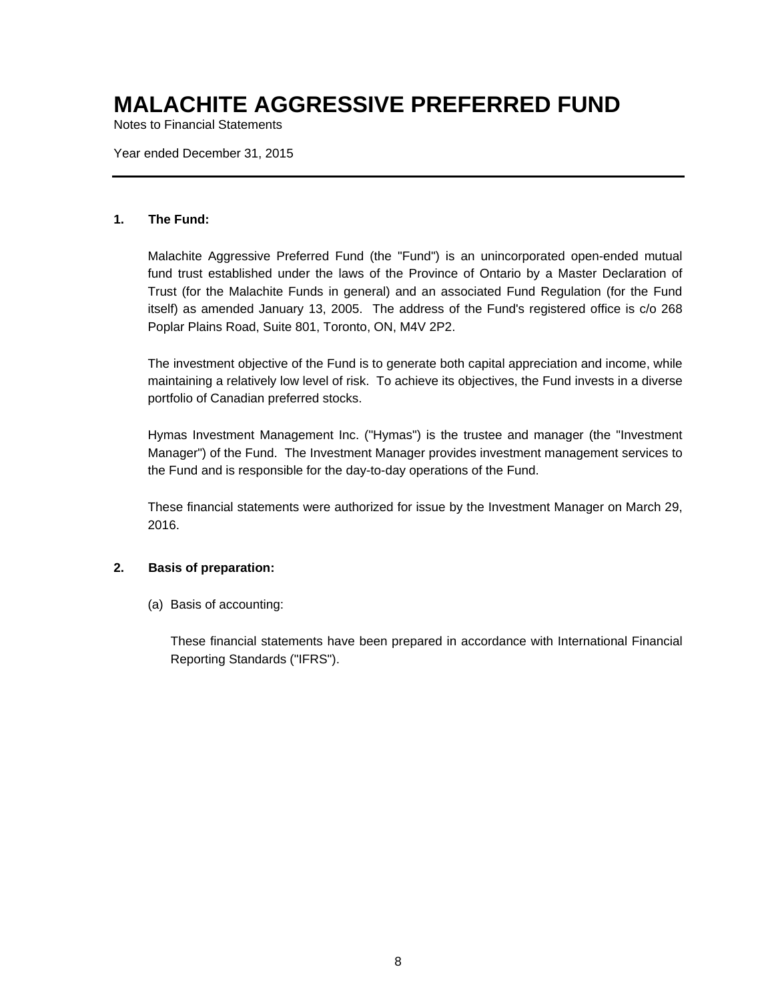Notes to Financial Statements

Year ended December 31, 2015

### **1. The Fund:**

Malachite Aggressive Preferred Fund (the "Fund") is an unincorporated open-ended mutual fund trust established under the laws of the Province of Ontario by a Master Declaration of Trust (for the Malachite Funds in general) and an associated Fund Regulation (for the Fund itself) as amended January 13, 2005. The address of the Fund's registered office is c/o 268 Poplar Plains Road, Suite 801, Toronto, ON, M4V 2P2.

The investment objective of the Fund is to generate both capital appreciation and income, while maintaining a relatively low level of risk. To achieve its objectives, the Fund invests in a diverse portfolio of Canadian preferred stocks.

Hymas Investment Management Inc. ("Hymas") is the trustee and manager (the "Investment Manager") of the Fund. The Investment Manager provides investment management services to the Fund and is responsible for the day-to-day operations of the Fund.

These financial statements were authorized for issue by the Investment Manager on March 29, 2016.

### **2. Basis of preparation:**

(a) Basis of accounting:

These financial statements have been prepared in accordance with International Financial Reporting Standards ("IFRS").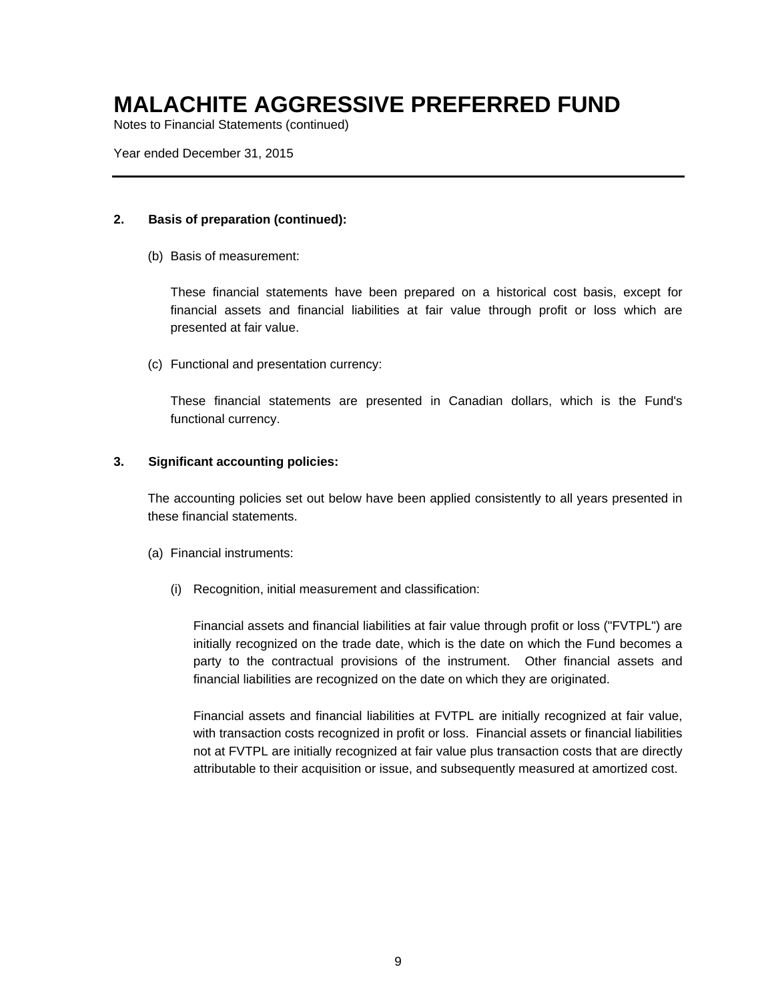Notes to Financial Statements (continued)

Year ended December 31, 2015

### **2. Basis of preparation (continued):**

(b) Basis of measurement:

These financial statements have been prepared on a historical cost basis, except for financial assets and financial liabilities at fair value through profit or loss which are presented at fair value.

(c) Functional and presentation currency:

These financial statements are presented in Canadian dollars, which is the Fund's functional currency.

### **3. Significant accounting policies:**

The accounting policies set out below have been applied consistently to all years presented in these financial statements.

- (a) Financial instruments:
	- (i) Recognition, initial measurement and classification:

Financial assets and financial liabilities at fair value through profit or loss ("FVTPL") are initially recognized on the trade date, which is the date on which the Fund becomes a party to the contractual provisions of the instrument. Other financial assets and financial liabilities are recognized on the date on which they are originated.

Financial assets and financial liabilities at FVTPL are initially recognized at fair value, with transaction costs recognized in profit or loss. Financial assets or financial liabilities not at FVTPL are initially recognized at fair value plus transaction costs that are directly attributable to their acquisition or issue, and subsequently measured at amortized cost.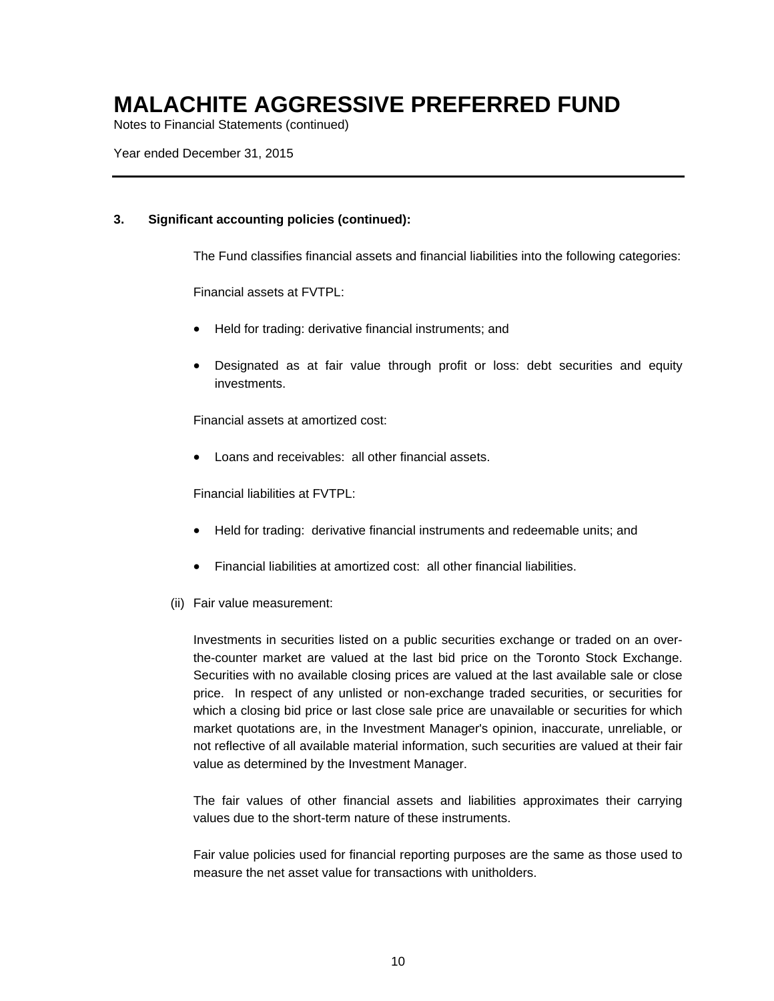Notes to Financial Statements (continued)

Year ended December 31, 2015

#### **3. Significant accounting policies (continued):**

The Fund classifies financial assets and financial liabilities into the following categories:

Financial assets at FVTPL:

- Held for trading: derivative financial instruments; and
- Designated as at fair value through profit or loss: debt securities and equity investments.

Financial assets at amortized cost:

Loans and receivables: all other financial assets.

Financial liabilities at FVTPL:

- Held for trading: derivative financial instruments and redeemable units; and
- Financial liabilities at amortized cost: all other financial liabilities.
- (ii) Fair value measurement:

Investments in securities listed on a public securities exchange or traded on an overthe-counter market are valued at the last bid price on the Toronto Stock Exchange. Securities with no available closing prices are valued at the last available sale or close price. In respect of any unlisted or non-exchange traded securities, or securities for which a closing bid price or last close sale price are unavailable or securities for which market quotations are, in the Investment Manager's opinion, inaccurate, unreliable, or not reflective of all available material information, such securities are valued at their fair value as determined by the Investment Manager.

The fair values of other financial assets and liabilities approximates their carrying values due to the short-term nature of these instruments.

Fair value policies used for financial reporting purposes are the same as those used to measure the net asset value for transactions with unitholders.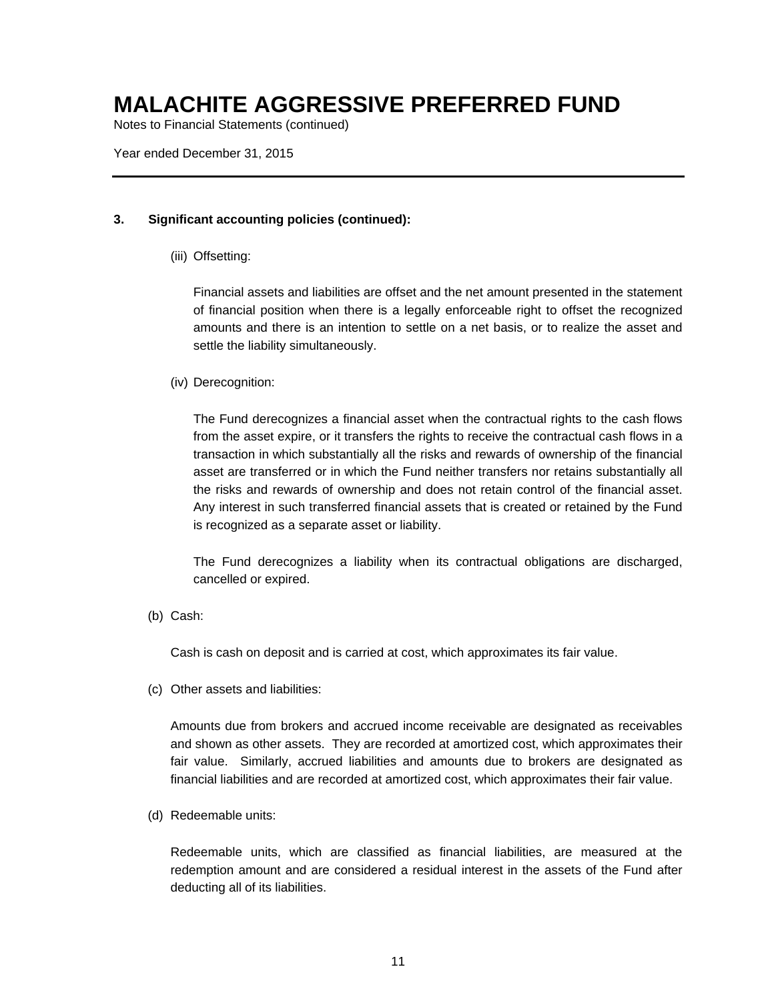Notes to Financial Statements (continued)

Year ended December 31, 2015

### **3. Significant accounting policies (continued):**

(iii) Offsetting:

Financial assets and liabilities are offset and the net amount presented in the statement of financial position when there is a legally enforceable right to offset the recognized amounts and there is an intention to settle on a net basis, or to realize the asset and settle the liability simultaneously.

### (iv) Derecognition:

The Fund derecognizes a financial asset when the contractual rights to the cash flows from the asset expire, or it transfers the rights to receive the contractual cash flows in a transaction in which substantially all the risks and rewards of ownership of the financial asset are transferred or in which the Fund neither transfers nor retains substantially all the risks and rewards of ownership and does not retain control of the financial asset. Any interest in such transferred financial assets that is created or retained by the Fund is recognized as a separate asset or liability.

The Fund derecognizes a liability when its contractual obligations are discharged, cancelled or expired.

(b) Cash:

Cash is cash on deposit and is carried at cost, which approximates its fair value.

(c) Other assets and liabilities:

Amounts due from brokers and accrued income receivable are designated as receivables and shown as other assets. They are recorded at amortized cost, which approximates their fair value. Similarly, accrued liabilities and amounts due to brokers are designated as financial liabilities and are recorded at amortized cost, which approximates their fair value.

(d) Redeemable units:

Redeemable units, which are classified as financial liabilities, are measured at the redemption amount and are considered a residual interest in the assets of the Fund after deducting all of its liabilities.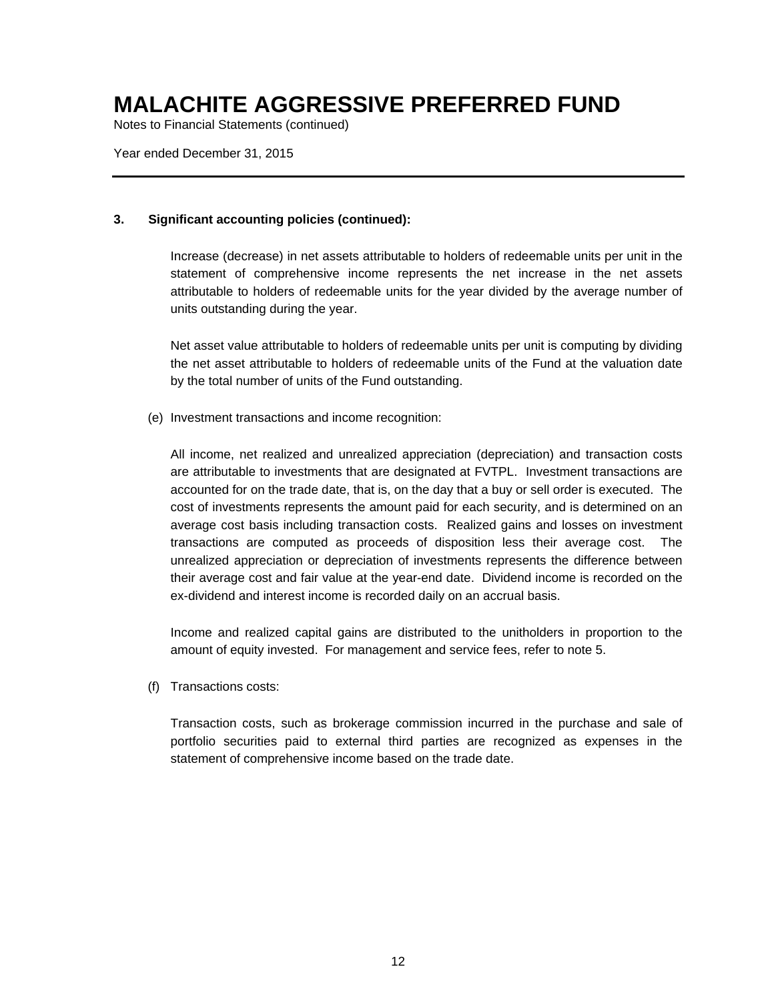Notes to Financial Statements (continued)

Year ended December 31, 2015

### **3. Significant accounting policies (continued):**

Increase (decrease) in net assets attributable to holders of redeemable units per unit in the statement of comprehensive income represents the net increase in the net assets attributable to holders of redeemable units for the year divided by the average number of units outstanding during the year.

Net asset value attributable to holders of redeemable units per unit is computing by dividing the net asset attributable to holders of redeemable units of the Fund at the valuation date by the total number of units of the Fund outstanding.

(e) Investment transactions and income recognition:

All income, net realized and unrealized appreciation (depreciation) and transaction costs are attributable to investments that are designated at FVTPL. Investment transactions are accounted for on the trade date, that is, on the day that a buy or sell order is executed. The cost of investments represents the amount paid for each security, and is determined on an average cost basis including transaction costs. Realized gains and losses on investment transactions are computed as proceeds of disposition less their average cost. The unrealized appreciation or depreciation of investments represents the difference between their average cost and fair value at the year-end date. Dividend income is recorded on the ex-dividend and interest income is recorded daily on an accrual basis.

Income and realized capital gains are distributed to the unitholders in proportion to the amount of equity invested. For management and service fees, refer to note 5.

(f) Transactions costs:

Transaction costs, such as brokerage commission incurred in the purchase and sale of portfolio securities paid to external third parties are recognized as expenses in the statement of comprehensive income based on the trade date.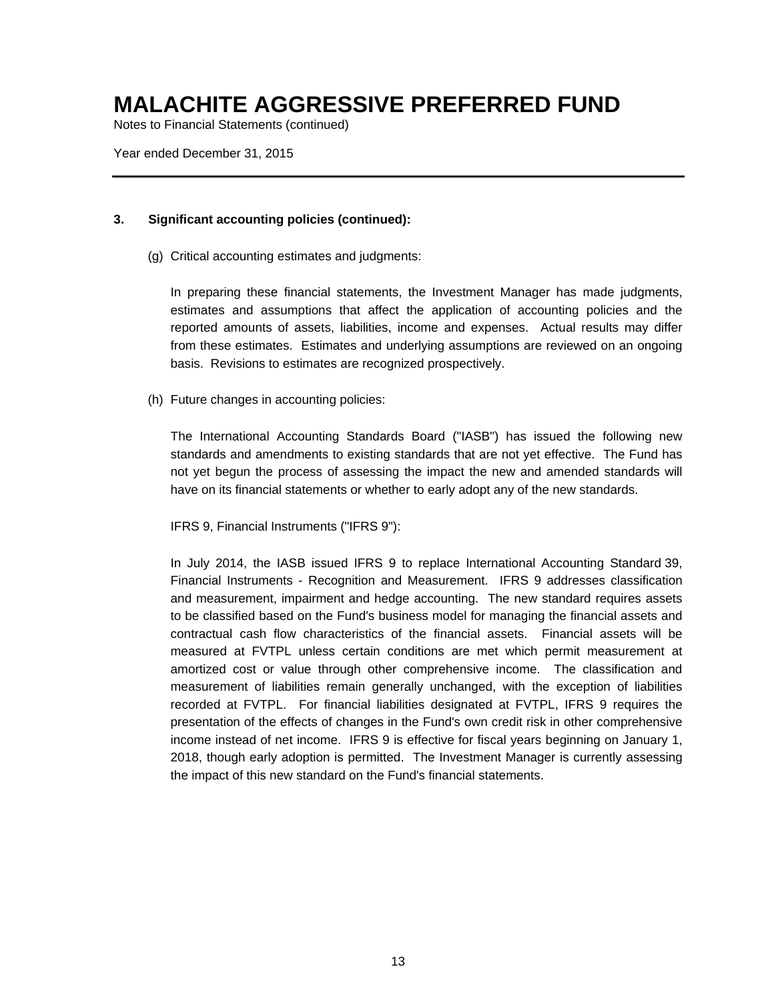Notes to Financial Statements (continued)

Year ended December 31, 2015

### **3. Significant accounting policies (continued):**

(g) Critical accounting estimates and judgments:

In preparing these financial statements, the Investment Manager has made judgments, estimates and assumptions that affect the application of accounting policies and the reported amounts of assets, liabilities, income and expenses. Actual results may differ from these estimates. Estimates and underlying assumptions are reviewed on an ongoing basis. Revisions to estimates are recognized prospectively.

(h) Future changes in accounting policies:

The International Accounting Standards Board ("IASB") has issued the following new standards and amendments to existing standards that are not yet effective. The Fund has not yet begun the process of assessing the impact the new and amended standards will have on its financial statements or whether to early adopt any of the new standards.

IFRS 9, Financial Instruments ("IFRS 9"):

In July 2014, the IASB issued IFRS 9 to replace International Accounting Standard 39, Financial Instruments - Recognition and Measurement. IFRS 9 addresses classification and measurement, impairment and hedge accounting. The new standard requires assets to be classified based on the Fund's business model for managing the financial assets and contractual cash flow characteristics of the financial assets. Financial assets will be measured at FVTPL unless certain conditions are met which permit measurement at amortized cost or value through other comprehensive income. The classification and measurement of liabilities remain generally unchanged, with the exception of liabilities recorded at FVTPL. For financial liabilities designated at FVTPL, IFRS 9 requires the presentation of the effects of changes in the Fund's own credit risk in other comprehensive income instead of net income. IFRS 9 is effective for fiscal years beginning on January 1, 2018, though early adoption is permitted. The Investment Manager is currently assessing the impact of this new standard on the Fund's financial statements.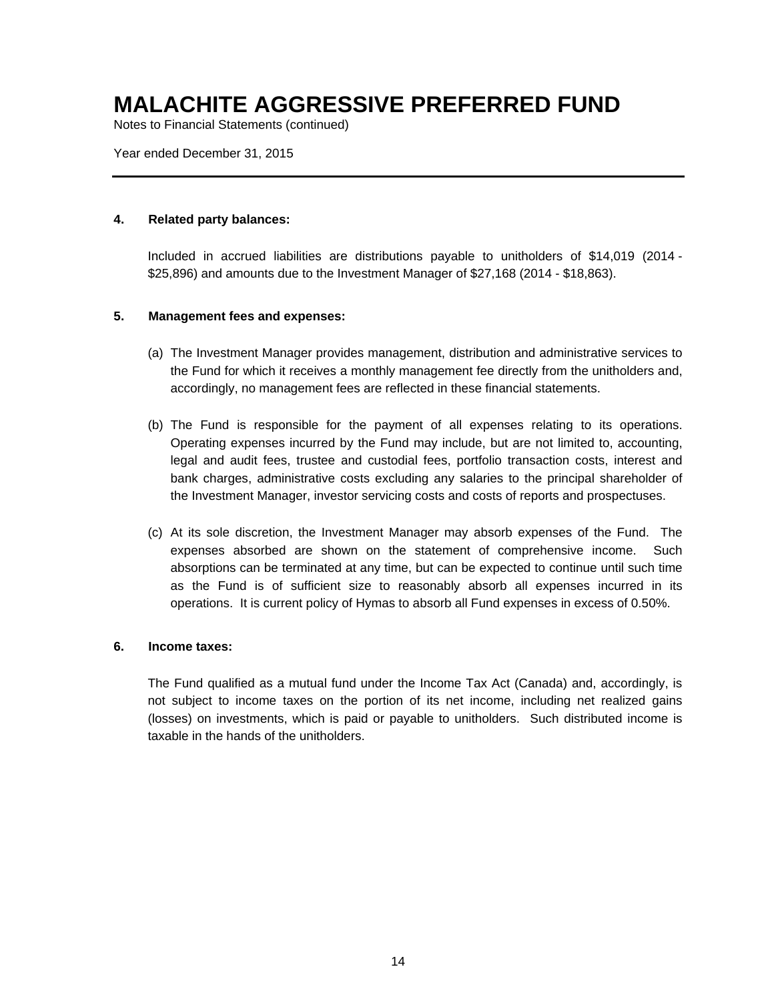Notes to Financial Statements (continued)

Year ended December 31, 2015

#### **4. Related party balances:**

Included in accrued liabilities are distributions payable to unitholders of \$14,019 (2014 - \$25,896) and amounts due to the Investment Manager of \$27,168 (2014 - \$18,863).

#### **5. Management fees and expenses:**

- (a) The Investment Manager provides management, distribution and administrative services to the Fund for which it receives a monthly management fee directly from the unitholders and, accordingly, no management fees are reflected in these financial statements.
- (b) The Fund is responsible for the payment of all expenses relating to its operations. Operating expenses incurred by the Fund may include, but are not limited to, accounting, legal and audit fees, trustee and custodial fees, portfolio transaction costs, interest and bank charges, administrative costs excluding any salaries to the principal shareholder of the Investment Manager, investor servicing costs and costs of reports and prospectuses.
- (c) At its sole discretion, the Investment Manager may absorb expenses of the Fund. The expenses absorbed are shown on the statement of comprehensive income. Such absorptions can be terminated at any time, but can be expected to continue until such time as the Fund is of sufficient size to reasonably absorb all expenses incurred in its operations. It is current policy of Hymas to absorb all Fund expenses in excess of 0.50%.

#### **6. Income taxes:**

The Fund qualified as a mutual fund under the Income Tax Act (Canada) and, accordingly, is not subject to income taxes on the portion of its net income, including net realized gains (losses) on investments, which is paid or payable to unitholders. Such distributed income is taxable in the hands of the unitholders.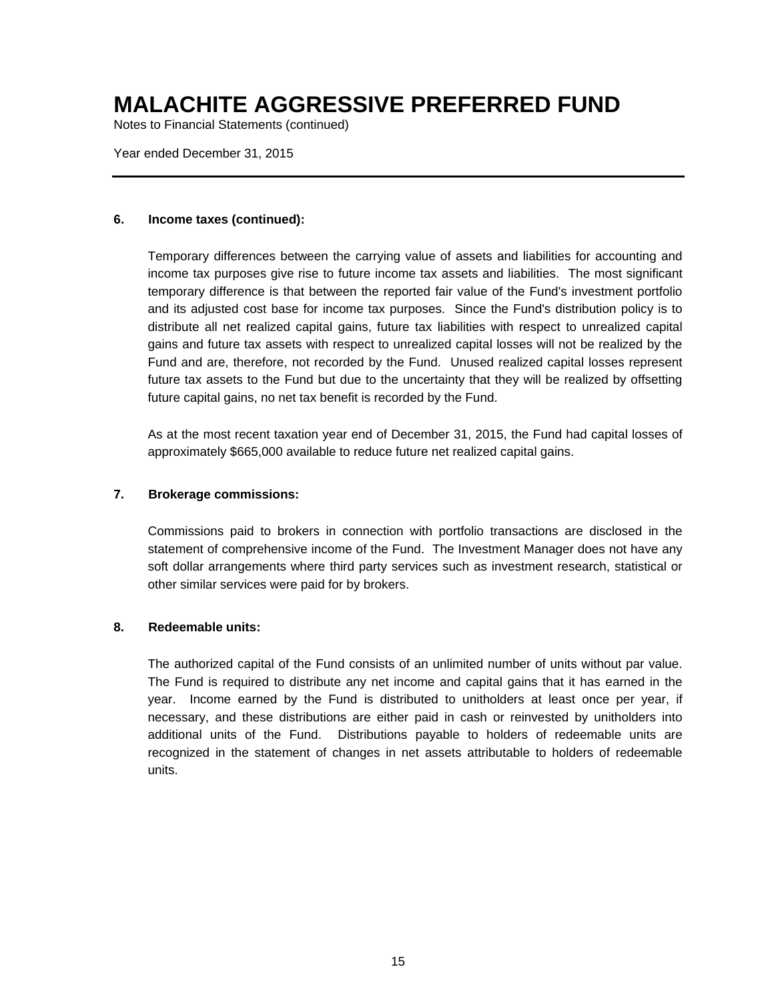Notes to Financial Statements (continued)

Year ended December 31, 2015

#### **6. Income taxes (continued):**

Temporary differences between the carrying value of assets and liabilities for accounting and income tax purposes give rise to future income tax assets and liabilities. The most significant temporary difference is that between the reported fair value of the Fund's investment portfolio and its adjusted cost base for income tax purposes. Since the Fund's distribution policy is to distribute all net realized capital gains, future tax liabilities with respect to unrealized capital gains and future tax assets with respect to unrealized capital losses will not be realized by the Fund and are, therefore, not recorded by the Fund. Unused realized capital losses represent future tax assets to the Fund but due to the uncertainty that they will be realized by offsetting future capital gains, no net tax benefit is recorded by the Fund.

As at the most recent taxation year end of December 31, 2015, the Fund had capital losses of approximately \$665,000 available to reduce future net realized capital gains.

### **7. Brokerage commissions:**

Commissions paid to brokers in connection with portfolio transactions are disclosed in the statement of comprehensive income of the Fund. The Investment Manager does not have any soft dollar arrangements where third party services such as investment research, statistical or other similar services were paid for by brokers.

#### **8. Redeemable units:**

The authorized capital of the Fund consists of an unlimited number of units without par value. The Fund is required to distribute any net income and capital gains that it has earned in the year. Income earned by the Fund is distributed to unitholders at least once per year, if necessary, and these distributions are either paid in cash or reinvested by unitholders into additional units of the Fund. Distributions payable to holders of redeemable units are recognized in the statement of changes in net assets attributable to holders of redeemable units.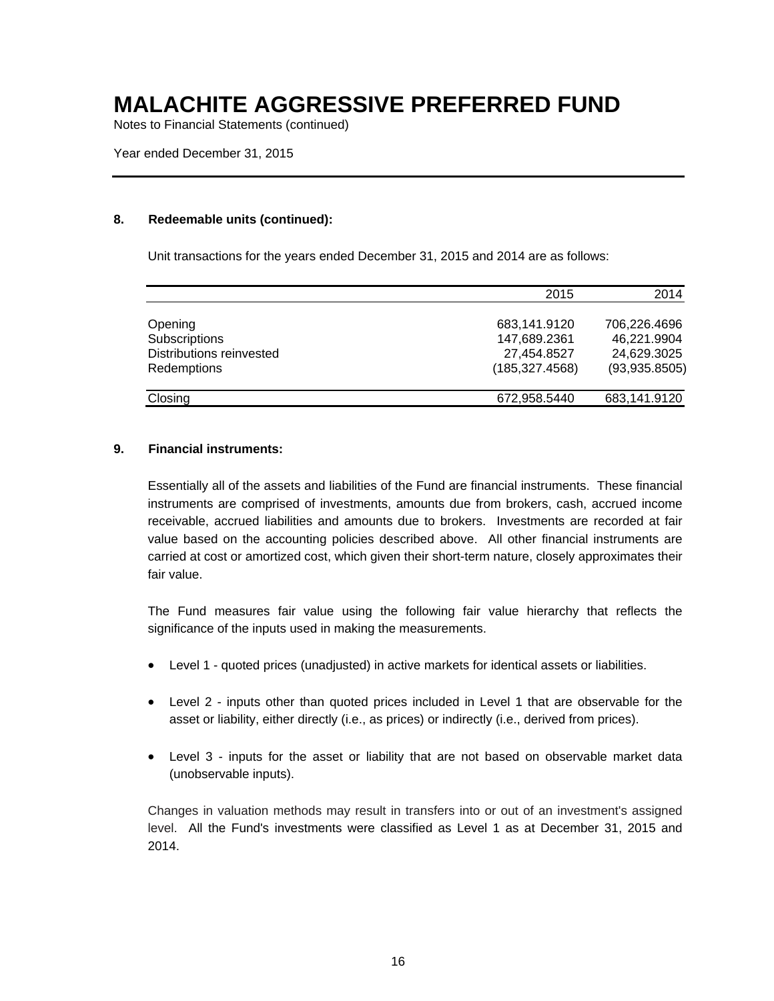Notes to Financial Statements (continued)

Year ended December 31, 2015

#### **8. Redeemable units (continued):**

Unit transactions for the years ended December 31, 2015 and 2014 are as follows:

|                          | 2015            | 2014           |
|--------------------------|-----------------|----------------|
|                          |                 |                |
| Opening                  | 683,141.9120    | 706,226.4696   |
| Subscriptions            | 147,689.2361    | 46,221.9904    |
| Distributions reinvested | 27,454.8527     | 24,629.3025    |
| Redemptions              | (185, 327.4568) | (93, 935.8505) |
| Closing                  | 672,958.5440    | 683,141.9120   |

### **9. Financial instruments:**

Essentially all of the assets and liabilities of the Fund are financial instruments. These financial instruments are comprised of investments, amounts due from brokers, cash, accrued income receivable, accrued liabilities and amounts due to brokers. Investments are recorded at fair value based on the accounting policies described above. All other financial instruments are carried at cost or amortized cost, which given their short-term nature, closely approximates their fair value.

The Fund measures fair value using the following fair value hierarchy that reflects the significance of the inputs used in making the measurements.

- Level 1 quoted prices (unadjusted) in active markets for identical assets or liabilities.
- Level 2 inputs other than quoted prices included in Level 1 that are observable for the asset or liability, either directly (i.e., as prices) or indirectly (i.e., derived from prices).
- Level 3 inputs for the asset or liability that are not based on observable market data (unobservable inputs).

Changes in valuation methods may result in transfers into or out of an investment's assigned level. All the Fund's investments were classified as Level 1 as at December 31, 2015 and 2014.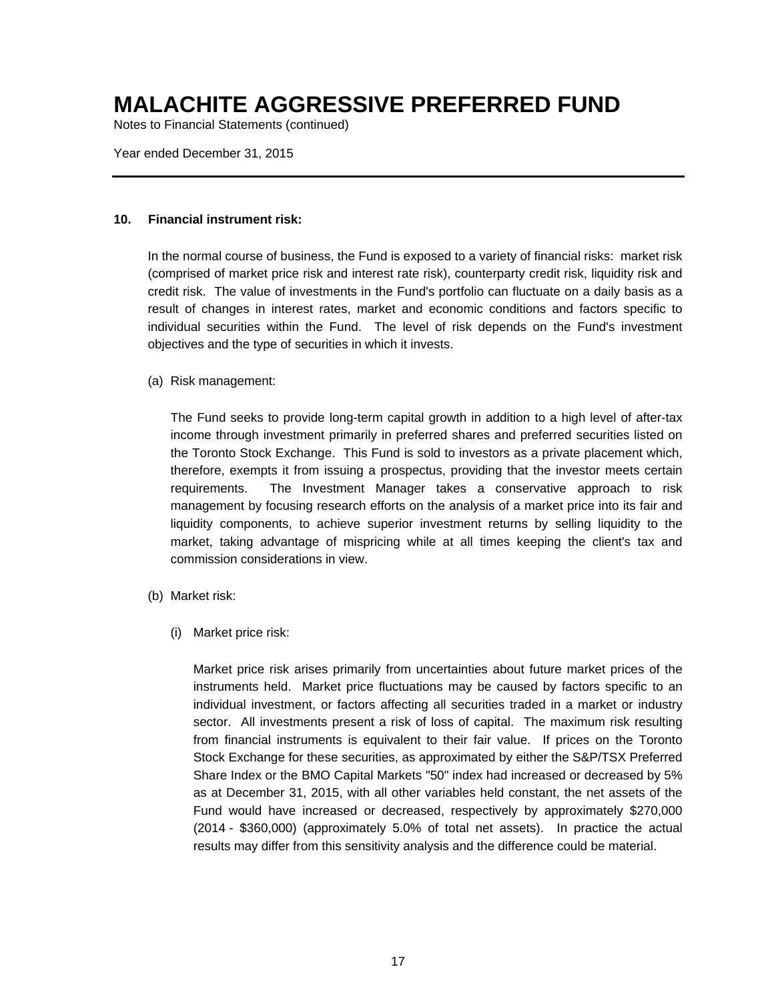Notes to Financial Statements (continued)

Year ended December 31, 2015

#### **10. Financial instrument risk:**

In the normal course of business, the Fund is exposed to a variety of financial risks: market risk (comprised of market price risk and interest rate risk), counterparty credit risk, liquidity risk and credit risk. The value of investments in the Fund's portfolio can fluctuate on a daily basis as a result of changes in interest rates, market and economic conditions and factors specific to individual securities within the Fund. The level of risk depends on the Fund's investment objectives and the type of securities in which it invests.

(a) Risk management:

The Fund seeks to provide long-term capital growth in addition to a high level of after-tax income through investment primarily in preferred shares and preferred securities listed on the Toronto Stock Exchange. This Fund is sold to investors as a private placement which, therefore, exempts it from issuing a prospectus, providing that the investor meets certain requirements. The Investment Manager takes a conservative approach to risk management by focusing research efforts on the analysis of a market price into its fair and liquidity components, to achieve superior investment returns by selling liquidity to the market, taking advantage of mispricing while at all times keeping the client's tax and commission considerations in view.

- (b) Market risk:
	- (i) Market price risk:

Market price risk arises primarily from uncertainties about future market prices of the instruments held. Market price fluctuations may be caused by factors specific to an individual investment, or factors affecting all securities traded in a market or industry sector. All investments present a risk of loss of capital. The maximum risk resulting from financial instruments is equivalent to their fair value. If prices on the Toronto Stock Exchange for these securities, as approximated by either the S&P/TSX Preferred Share Index or the BMO Capital Markets "50" index had increased or decreased by 5% as at December 31, 2015, with all other variables held constant, the net assets of the Fund would have increased or decreased, respectively by approximately \$270,000 (2014 - \$360,000) (approximately 5.0% of total net assets). In practice the actual results may differ from this sensitivity analysis and the difference could be material.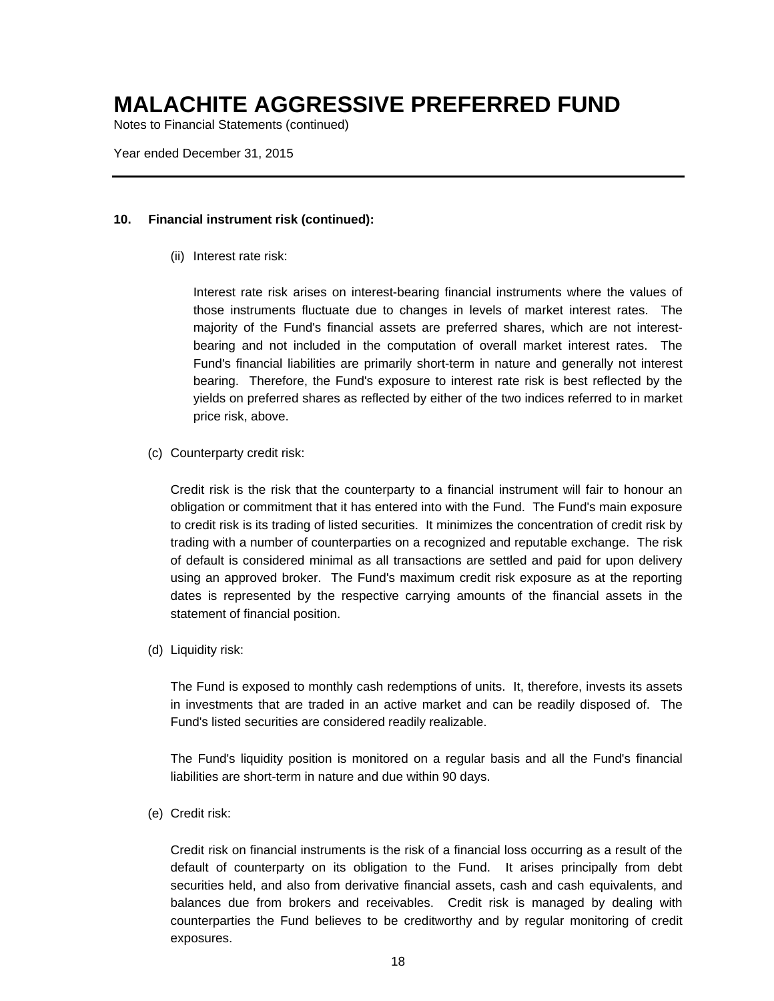Notes to Financial Statements (continued)

Year ended December 31, 2015

#### **10. Financial instrument risk (continued):**

(ii) Interest rate risk:

Interest rate risk arises on interest-bearing financial instruments where the values of those instruments fluctuate due to changes in levels of market interest rates. The majority of the Fund's financial assets are preferred shares, which are not interestbearing and not included in the computation of overall market interest rates. The Fund's financial liabilities are primarily short-term in nature and generally not interest bearing. Therefore, the Fund's exposure to interest rate risk is best reflected by the yields on preferred shares as reflected by either of the two indices referred to in market price risk, above.

(c) Counterparty credit risk:

Credit risk is the risk that the counterparty to a financial instrument will fair to honour an obligation or commitment that it has entered into with the Fund. The Fund's main exposure to credit risk is its trading of listed securities. It minimizes the concentration of credit risk by trading with a number of counterparties on a recognized and reputable exchange. The risk of default is considered minimal as all transactions are settled and paid for upon delivery using an approved broker. The Fund's maximum credit risk exposure as at the reporting dates is represented by the respective carrying amounts of the financial assets in the statement of financial position.

(d) Liquidity risk:

The Fund is exposed to monthly cash redemptions of units. It, therefore, invests its assets in investments that are traded in an active market and can be readily disposed of. The Fund's listed securities are considered readily realizable.

The Fund's liquidity position is monitored on a regular basis and all the Fund's financial liabilities are short-term in nature and due within 90 days.

(e) Credit risk:

Credit risk on financial instruments is the risk of a financial loss occurring as a result of the default of counterparty on its obligation to the Fund. It arises principally from debt securities held, and also from derivative financial assets, cash and cash equivalents, and balances due from brokers and receivables. Credit risk is managed by dealing with counterparties the Fund believes to be creditworthy and by regular monitoring of credit exposures.